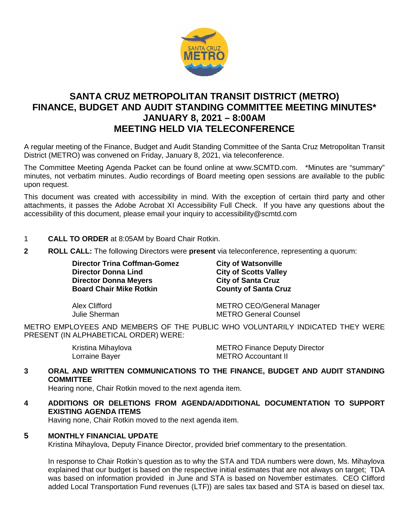

# **SANTA CRUZ METROPOLITAN TRANSIT DISTRICT (METRO) FINANCE, BUDGET AND AUDIT STANDING COMMITTEE MEETING MINUTES\* JANUARY 8, 2021 – 8:00AM MEETING HELD VIA TELECONFERENCE**

A regular meeting of the Finance, Budget and Audit Standing Committee of the Santa Cruz Metropolitan Transit District (METRO) was convened on Friday, January 8, 2021, via teleconference.

The Committee Meeting Agenda Packet can be found online at www.SCMTD.com. \*Minutes are "summary" minutes, not verbatim minutes. Audio recordings of Board meeting open sessions are available to the public upon request.

This document was created with accessibility in mind. With the exception of certain third party and other attachments, it passes the Adobe Acrobat XI Accessibility Full Check. If you have any questions about the accessibility of this document, please email your inquiry to accessibility@scmtd.com

- 1 **CALL TO ORDER** at 8:05AM by Board Chair Rotkin.
- **2 ROLL CALL:** The following Directors were **present** via teleconference, representing a quorum:

**Director Trina Coffman-Gomez City of Watsonville<br>
Director Donna Lind
<b>City of Scotts Valle Director Donna Meyers City of Santa Cruz County of Santa Cruz**<br> **Board Chair Mike Rotkin Board Chair Mike Rotkin** 

**City of Scotts Valley<br>City of Santa Cruz** 

Alex Clifford METRO CEO/General Manager Julie Sherman METRO General Counsel

METRO EMPLOYEES AND MEMBERS OF THE PUBLIC WHO VOLUNTARILY INDICATED THEY WERE PRESENT (IN ALPHABETICAL ORDER) WERE:

Kristina Mihaylova **METRO Finance Deputy Director** Lorraine Bayer **METRO** Accountant II

# **3 ORAL AND WRITTEN COMMUNICATIONS TO THE FINANCE, BUDGET AND AUDIT STANDING COMMITTEE**

Hearing none, Chair Rotkin moved to the next agenda item.

**4 ADDITIONS OR DELETIONS FROM AGENDA/ADDITIONAL DOCUMENTATION TO SUPPORT EXISTING AGENDA ITEMS** 

Having none, Chair Rotkin moved to the next agenda item.

## **5 MONTHLY FINANCIAL UPDATE**

Kristina Mihaylova, Deputy Finance Director, provided brief commentary to the presentation.

In response to Chair Rotkin's question as to why the STA and TDA numbers were down, Ms. Mihaylova explained that our budget is based on the respective initial estimates that are not always on target; TDA was based on information provided in June and STA is based on November estimates. CEO Clifford added Local Transportation Fund revenues (LTF)) are sales tax based and STA is based on diesel tax.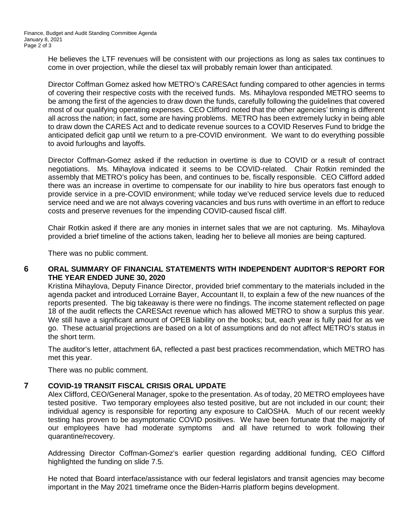He believes the LTF revenues will be consistent with our projections as long as sales tax continues to come in over projection, while the diesel tax will probably remain lower than anticipated.

Director Coffman Gomez asked how METRO's CARESAct funding compared to other agencies in terms of covering their respective costs with the received funds. Ms. Mihaylova responded METRO seems to be among the first of the agencies to draw down the funds, carefully following the guidelines that covered most of our qualifying operating expenses. CEO Clifford noted that the other agencies' timing is different all across the nation; in fact, some are having problems. METRO has been extremely lucky in being able to draw down the CARES Act and to dedicate revenue sources to a COVID Reserves Fund to bridge the anticipated deficit gap until we return to a pre-COVID environment. We want to do everything possible to avoid furloughs and layoffs.

Director Coffman-Gomez asked if the reduction in overtime is due to COVID or a result of contract negotiations. Ms. Mihaylova indicated it seems to be COVID-related. Chair Rotkin reminded the assembly that METRO's policy has been, and continues to be, fiscally responsible. CEO Clifford added there was an increase in overtime to compensate for our inability to hire bus operators fast enough to provide service in a pre-COVID environment; while today we've reduced service levels due to reduced service need and we are not always covering vacancies and bus runs with overtime in an effort to reduce costs and preserve revenues for the impending COVID-caused fiscal cliff.

Chair Rotkin asked if there are any monies in internet sales that we are not capturing. Ms. Mihaylova provided a brief timeline of the actions taken, leading her to believe all monies are being captured.

There was no public comment.

## **6 ORAL SUMMARY OF FINANCIAL STATEMENTS WITH INDEPENDENT AUDITOR'S REPORT FOR THE YEAR ENDED JUNE 30, 2020**

Kristina Mihaylova, Deputy Finance Director, provided brief commentary to the materials included in the agenda packet and introduced Lorraine Bayer, Accountant II, to explain a few of the new nuances of the reports presented. The big takeaway is there were no findings. The income statement reflected on page 18 of the audit reflects the CARESAct revenue which has allowed METRO to show a surplus this year. We still have a significant amount of OPEB liability on the books; but, each year is fully paid for as we go. These actuarial projections are based on a lot of assumptions and do not affect METRO's status in the short term.

The auditor's letter, attachment 6A, reflected a past best practices recommendation, which METRO has met this year.

There was no public comment.

## **7 COVID-19 TRANSIT FISCAL CRISIS ORAL UPDATE**

Alex Clifford, CEO/General Manager, spoke to the presentation. As of today, 20 METRO employees have tested positive. Two temporary employees also tested positive, but are not included in our count; their individual agency is responsible for reporting any exposure to CalOSHA. Much of our recent weekly testing has proven to be asymptomatic COVID positives. We have been fortunate that the majority of our employees have had moderate symptoms and all have returned to work following their quarantine/recovery.

Addressing Director Coffman-Gomez's earlier question regarding additional funding, CEO Clifford highlighted the funding on slide 7.5.

He noted that Board interface/assistance with our federal legislators and transit agencies may become important in the May 2021 timeframe once the Biden-Harris platform begins development.